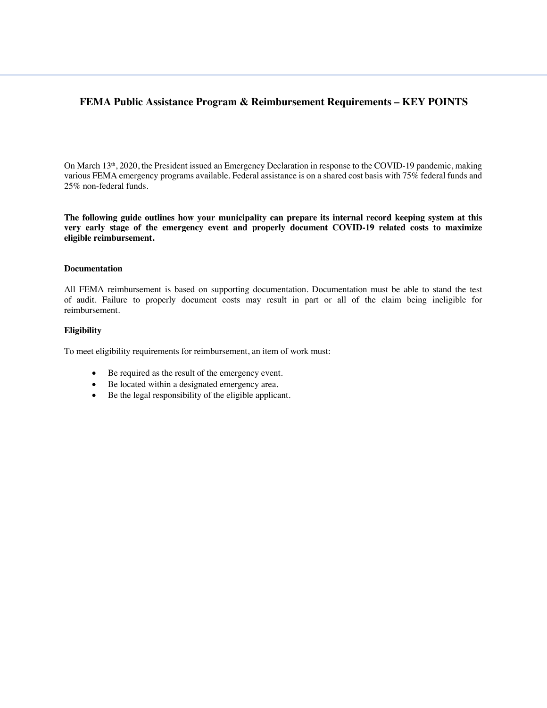# **FEMA Public Assistance Program & Reimbursement Requirements – KEY POINTS**

On March 13<sup>th</sup>, 2020, the President issued an Emergency Declaration in response to the COVID-19 pandemic, making various FEMA emergency programs available. Federal assistance is on a shared cost basis with 75% federal funds and 25% non-federal funds.

**The following guide outlines how your municipality can prepare its internal record keeping system at this very early stage of the emergency event and properly document COVID-19 related costs to maximize eligible reimbursement.** 

#### **Documentation**

All FEMA reimbursement is based on supporting documentation. Documentation must be able to stand the test of audit. Failure to properly document costs may result in part or all of the claim being ineligible for reimbursement.

#### **Eligibility**

To meet eligibility requirements for reimbursement, an item of work must:

- Be required as the result of the emergency event.
- Be located within a designated emergency area.
- Be the legal responsibility of the eligible applicant.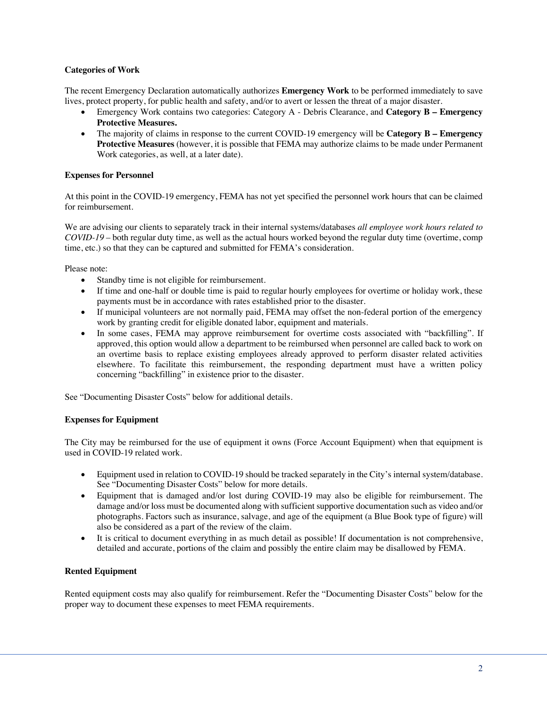### **Categories of Work**

The recent Emergency Declaration automatically authorizes **Emergency Work** to be performed immediately to save lives, protect property, for public health and safety, and/or to avert or lessen the threat of a major disaster.

- Emergency Work contains two categories: Category A Debris Clearance, and **Category B Emergency Protective Measures.**
- The majority of claims in response to the current COVID-19 emergency will be **Category B Emergency Protective Measures** (however, it is possible that FEMA may authorize claims to be made under Permanent Work categories, as well, at a later date).

### **Expenses for Personnel**

At this point in the COVID-19 emergency, FEMA has not yet specified the personnel work hours that can be claimed for reimbursement.

We are advising our clients to separately track in their internal systems/databases *all employee work hours related to COVID-19* – both regular duty time, as well as the actual hours worked beyond the regular duty time (overtime, comp time, etc.) so that they can be captured and submitted for FEMA's consideration.

Please note:

- Standby time is not eligible for reimbursement.
- If time and one-half or double time is paid to regular hourly employees for overtime or holiday work, these payments must be in accordance with rates established prior to the disaster.
- If municipal volunteers are not normally paid, FEMA may offset the non-federal portion of the emergency work by granting credit for eligible donated labor, equipment and materials.
- In some cases, FEMA may approve reimbursement for overtime costs associated with "backfilling". If approved, this option would allow a department to be reimbursed when personnel are called back to work on an overtime basis to replace existing employees already approved to perform disaster related activities elsewhere. To facilitate this reimbursement, the responding department must have a written policy concerning "backfilling" in existence prior to the disaster.

See "Documenting Disaster Costs" below for additional details.

#### **Expenses for Equipment**

The City may be reimbursed for the use of equipment it owns (Force Account Equipment) when that equipment is used in COVID-19 related work.

- Equipment used in relation to COVID-19 should be tracked separately in the City's internal system/database. See "Documenting Disaster Costs" below for more details.
- Equipment that is damaged and/or lost during COVID-19 may also be eligible for reimbursement. The damage and/or loss must be documented along with sufficient supportive documentation such as video and/or photographs. Factors such as insurance, salvage, and age of the equipment (a Blue Book type of figure) will also be considered as a part of the review of the claim.
- It is critical to document everything in as much detail as possible! If documentation is not comprehensive, detailed and accurate, portions of the claim and possibly the entire claim may be disallowed by FEMA.

#### **Rented Equipment**

Rented equipment costs may also qualify for reimbursement. Refer the "Documenting Disaster Costs" below for the proper way to document these expenses to meet FEMA requirements.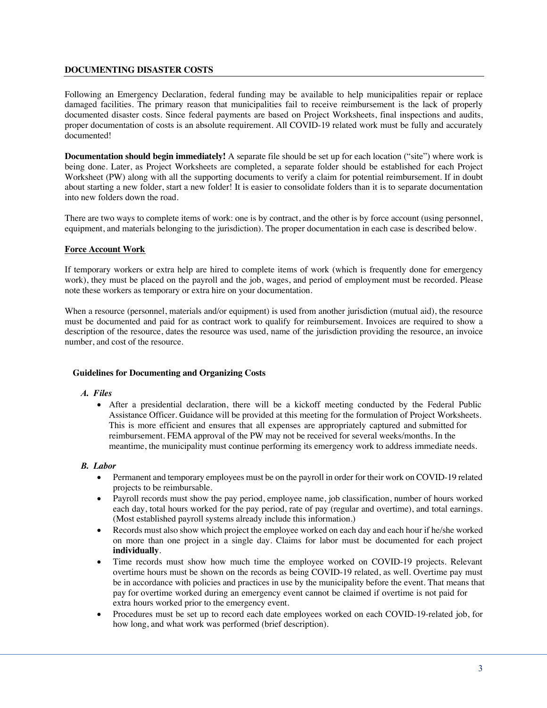### **DOCUMENTING DISASTER COSTS**

Following an Emergency Declaration, federal funding may be available to help municipalities repair or replace damaged facilities. The primary reason that municipalities fail to receive reimbursement is the lack of properly documented disaster costs. Since federal payments are based on Project Worksheets, final inspections and audits, proper documentation of costs is an absolute requirement. All COVID-19 related work must be fully and accurately documented!

**Documentation should begin immediately!** A separate file should be set up for each location ("site") where work is being done. Later, as Project Worksheets are completed, a separate folder should be established for each Project Worksheet (PW) along with all the supporting documents to verify a claim for potential reimbursement. If in doubt about starting a new folder, start a new folder! It is easier to consolidate folders than it is to separate documentation into new folders down the road.

There are two ways to complete items of work: one is by contract, and the other is by force account (using personnel, equipment, and materials belonging to the jurisdiction). The proper documentation in each case is described below.

#### **Force Account Work**

If temporary workers or extra help are hired to complete items of work (which is frequently done for emergency work), they must be placed on the payroll and the job, wages, and period of employment must be recorded. Please note these workers as temporary or extra hire on your documentation.

When a resource (personnel, materials and/or equipment) is used from another jurisdiction (mutual aid), the resource must be documented and paid for as contract work to qualify for reimbursement. Invoices are required to show a description of the resource, dates the resource was used, name of the jurisdiction providing the resource, an invoice number, and cost of the resource.

#### **Guidelines for Documenting and Organizing Costs**

#### *A. Files*

• After a presidential declaration, there will be a kickoff meeting conducted by the Federal Public Assistance Officer. Guidance will be provided at this meeting for the formulation of Project Worksheets. This is more efficient and ensures that all expenses are appropriately captured and submitted for reimbursement. FEMA approval of the PW may not be received for several weeks/months. In the meantime, the municipality must continue performing its emergency work to address immediate needs.

#### *B. Labor*

- Permanent and temporary employees must be on the payroll in order for their work on COVID-19 related projects to be reimbursable.
- Payroll records must show the pay period, employee name, job classification, number of hours worked each day, total hours worked for the pay period, rate of pay (regular and overtime), and total earnings. (Most established payroll systems already include this information.)
- Records must also show which project the employee worked on each day and each hour if he/she worked on more than one project in a single day. Claims for labor must be documented for each project **individually**.
- Time records must show how much time the employee worked on COVID-19 projects. Relevant overtime hours must be shown on the records as being COVID-19 related, as well. Overtime pay must be in accordance with policies and practices in use by the municipality before the event. That means that pay for overtime worked during an emergency event cannot be claimed if overtime is not paid for extra hours worked prior to the emergency event.
- Procedures must be set up to record each date employees worked on each COVID-19-related job, for how long, and what work was performed (brief description).